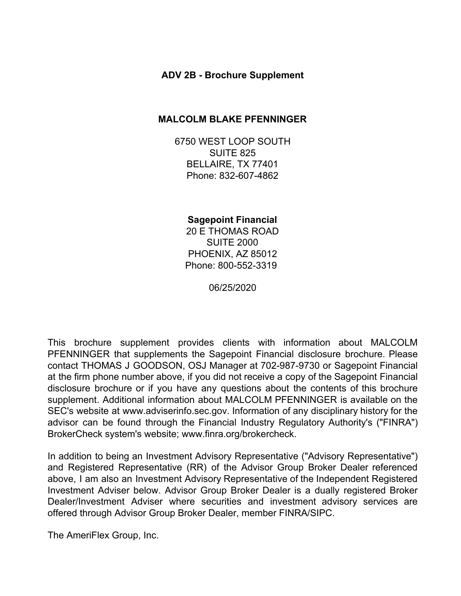## **ADV 2B - Brochure Supplement**

#### **MALCOLM BLAKE PFENNINGER**

6750 WEST LOOP SOUTH SUITE 825 BELLAIRE, TX 77401 Phone: 832-607-4862

**Sagepoint Financial** 20 E THOMAS ROAD SUITE 2000 PHOENIX, AZ 85012 Phone: 800-552-3319

06/25/2020

This brochure supplement provides clients with information about MALCOLM PFENNINGER that supplements the Sagepoint Financial disclosure brochure. Please contact THOMAS J GOODSON, OSJ Manager at 702-987-9730 or Sagepoint Financial at the firm phone number above, if you did not receive a copy of the Sagepoint Financial disclosure brochure or if you have any questions about the contents of this brochure supplement. Additional information about MALCOLM PFENNINGER is available on the SEC's website at www.adviserinfo.sec.gov. Information of any disciplinary history for the advisor can be found through the Financial Industry Regulatory Authority's ("FINRA") BrokerCheck system's website; www.finra.org/brokercheck.

In addition to being an Investment Advisory Representative ("Advisory Representative") and Registered Representative (RR) of the Advisor Group Broker Dealer referenced above, I am also an Investment Advisory Representative of the Independent Registered Investment Adviser below. Advisor Group Broker Dealer is a dually registered Broker Dealer/Investment Adviser where securities and investment advisory services are offered through Advisor Group Broker Dealer, member FINRA/SIPC.

The AmeriFlex Group, Inc.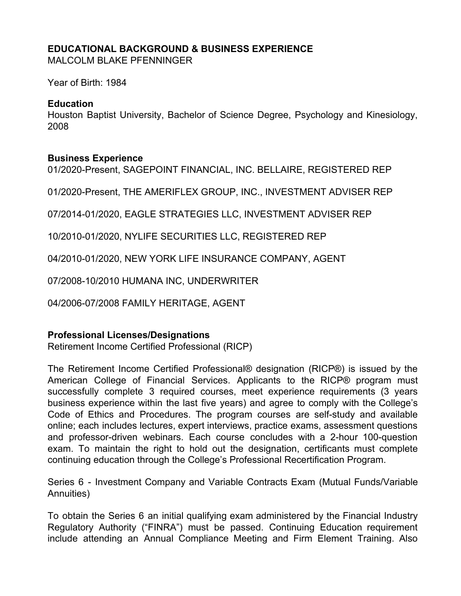# **EDUCATIONAL BACKGROUND & BUSINESS EXPERIENCE**

MALCOLM BLAKE PFENNINGER

Year of Birth: 1984

## **Education**

Houston Baptist University, Bachelor of Science Degree, Psychology and Kinesiology, 2008

# **Business Experience**

01/2020-Present, SAGEPOINT FINANCIAL, INC. BELLAIRE, REGISTERED REP

01/2020-Present, THE AMERIFLEX GROUP, INC., INVESTMENT ADVISER REP

07/2014-01/2020, EAGLE STRATEGIES LLC, INVESTMENT ADVISER REP

10/2010-01/2020, NYLIFE SECURITIES LLC, REGISTERED REP

04/2010-01/2020, NEW YORK LIFE INSURANCE COMPANY, AGENT

07/2008-10/2010 HUMANA INC, UNDERWRITER

04/2006-07/2008 FAMILY HERITAGE, AGENT

# **Professional Licenses/Designations**

Retirement Income Certified Professional (RICP)

The Retirement Income Certified Professional® designation (RICP®) is issued by the American College of Financial Services. Applicants to the RICP® program must successfully complete 3 required courses, meet experience requirements (3 years business experience within the last five years) and agree to comply with the College's Code of Ethics and Procedures. The program courses are self-study and available online; each includes lectures, expert interviews, practice exams, assessment questions and professor-driven webinars. Each course concludes with a 2-hour 100-question exam. To maintain the right to hold out the designation, certificants must complete continuing education through the College's Professional Recertification Program.

Series 6 - Investment Company and Variable Contracts Exam (Mutual Funds/Variable Annuities)

To obtain the Series 6 an initial qualifying exam administered by the Financial Industry Regulatory Authority ("FINRA") must be passed. Continuing Education requirement include attending an Annual Compliance Meeting and Firm Element Training. Also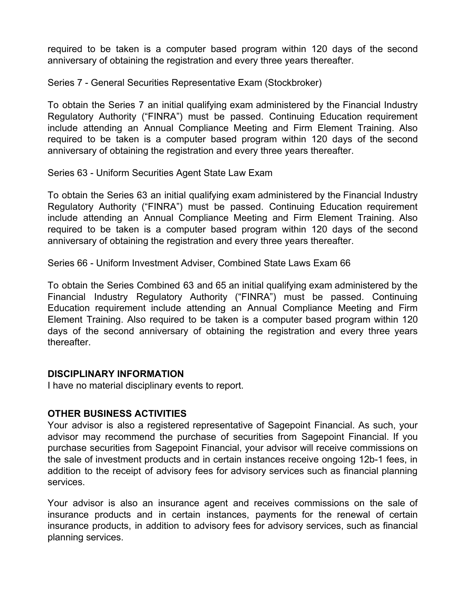required to be taken is a computer based program within 120 days of the second anniversary of obtaining the registration and every three years thereafter.

Series 7 - General Securities Representative Exam (Stockbroker)

To obtain the Series 7 an initial qualifying exam administered by the Financial Industry Regulatory Authority ("FINRA") must be passed. Continuing Education requirement include attending an Annual Compliance Meeting and Firm Element Training. Also required to be taken is a computer based program within 120 days of the second anniversary of obtaining the registration and every three years thereafter.

Series 63 - Uniform Securities Agent State Law Exam

To obtain the Series 63 an initial qualifying exam administered by the Financial Industry Regulatory Authority ("FINRA") must be passed. Continuing Education requirement include attending an Annual Compliance Meeting and Firm Element Training. Also required to be taken is a computer based program within 120 days of the second anniversary of obtaining the registration and every three years thereafter.

Series 66 - Uniform Investment Adviser, Combined State Laws Exam 66

To obtain the Series Combined 63 and 65 an initial qualifying exam administered by the Financial Industry Regulatory Authority ("FINRA") must be passed. Continuing Education requirement include attending an Annual Compliance Meeting and Firm Element Training. Also required to be taken is a computer based program within 120 days of the second anniversary of obtaining the registration and every three years thereafter.

#### **DISCIPLINARY INFORMATION**

I have no material disciplinary events to report.

## **OTHER BUSINESS ACTIVITIES**

Your advisor is also a registered representative of Sagepoint Financial. As such, your advisor may recommend the purchase of securities from Sagepoint Financial. If you purchase securities from Sagepoint Financial, your advisor will receive commissions on the sale of investment products and in certain instances receive ongoing 12b-1 fees, in addition to the receipt of advisory fees for advisory services such as financial planning services.

Your advisor is also an insurance agent and receives commissions on the sale of insurance products and in certain instances, payments for the renewal of certain insurance products, in addition to advisory fees for advisory services, such as financial planning services.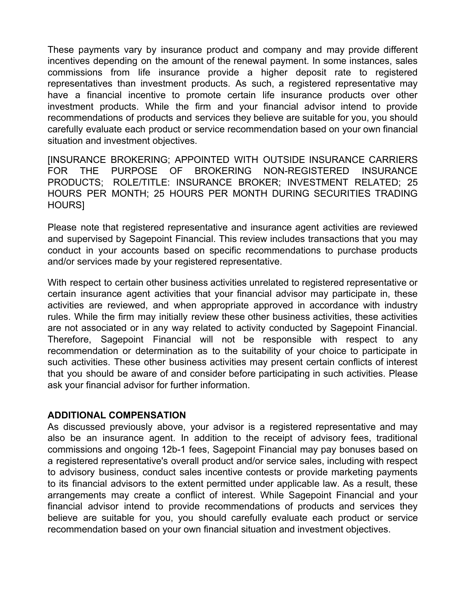These payments vary by insurance product and company and may provide different incentives depending on the amount of the renewal payment. In some instances, sales commissions from life insurance provide a higher deposit rate to registered representatives than investment products. As such, a registered representative may have a financial incentive to promote certain life insurance products over other investment products. While the firm and your financial advisor intend to provide recommendations of products and services they believe are suitable for you, you should carefully evaluate each product or service recommendation based on your own financial situation and investment objectives.

[INSURANCE BROKERING; APPOINTED WITH OUTSIDE INSURANCE CARRIERS FOR THE PURPOSE OF BROKERING NON-REGISTERED INSURANCE PRODUCTS; ROLE/TITLE: INSURANCE BROKER; INVESTMENT RELATED; 25 HOURS PER MONTH; 25 HOURS PER MONTH DURING SECURITIES TRADING HOURS]

Please note that registered representative and insurance agent activities are reviewed and supervised by Sagepoint Financial. This review includes transactions that you may conduct in your accounts based on specific recommendations to purchase products and/or services made by your registered representative.

With respect to certain other business activities unrelated to registered representative or certain insurance agent activities that your financial advisor may participate in, these activities are reviewed, and when appropriate approved in accordance with industry rules. While the firm may initially review these other business activities, these activities are not associated or in any way related to activity conducted by Sagepoint Financial. Therefore, Sagepoint Financial will not be responsible with respect to any recommendation or determination as to the suitability of your choice to participate in such activities. These other business activities may present certain conflicts of interest that you should be aware of and consider before participating in such activities. Please ask your financial advisor for further information.

#### **ADDITIONAL COMPENSATION**

As discussed previously above, your advisor is a registered representative and may also be an insurance agent. In addition to the receipt of advisory fees, traditional commissions and ongoing 12b-1 fees, Sagepoint Financial may pay bonuses based on a registered representative's overall product and/or service sales, including with respect to advisory business, conduct sales incentive contests or provide marketing payments to its financial advisors to the extent permitted under applicable law. As a result, these arrangements may create a conflict of interest. While Sagepoint Financial and your financial advisor intend to provide recommendations of products and services they believe are suitable for you, you should carefully evaluate each product or service recommendation based on your own financial situation and investment objectives.